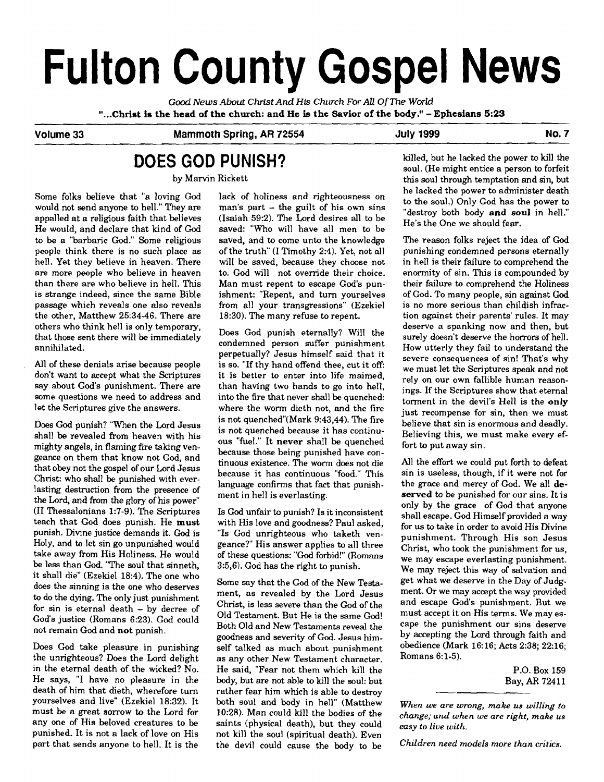# **Fulton County Gospel News**

Good *News About Christ And* **His** *Church For All* **Of** *The World*  "... Christ is the head of the church: and He is the Savior of the body." - Ephesians 5:23

**Volume 33 Mammoth Spring, AR 72554 July 1999 No. 7** 

## **DOES GOD PUNISH?**

by Marvin Rickett

Some folks believe that "a loving God lack of holiness and righteousness on he lacked the power to administer death<br>would not send anyone to hell." They are man's part – the guilt of his own sins to the soul.) Only God has to be a "barbaric God." Some religious people think there is no such place as hell. Yet they believe in heaven. There are more people who believe in heaven than there are who believe in hell. This is strange indeed, since the same Bible passage which reveals one also reveals the other, Matthew 25:34-46. There are others who think hell is only temporary, that those sent there will be immediately annihilated.

All of these denials arise because people don't want to accept what the Scriptures say about God's punishment. There are some questions we need to address and let the Scriptures give the answers.

Does God punish? "When the Lord Jesus shall be revealed from heaven with his mighty angels, in flaming fire taking vengeance on them that know not God, and that obey not the gospel of our Lord Jesus Christ: who shall be punished with everlasting destruction from the presence of the Lord, and from the glory of his power" (11 Thessalonians 1:7-9). The Scriptures teach that God does punish. He **must**  punish. Divine justice demands it. **God** is Holy, and to let sin go unpunished would take away from His Holiness. He would be less than God. "The soul that sinneth, it shall die" (Ezekiel 18:4). The one who does the sinning is the one who deserves to do the dying. The only just punishment for sin is eternal death - by decree of God's justice (Romans 6:23). **God** could not remain **God** and **not** punish.

Does God take pleasure in punishing the unrighteous? Does the Lord delight in the eternal death of the wicked? No. He says, "I have no pleasure in the death of him that dieth, wherefore turn yourselves and live" (Ezekiel 18:32). It must be a great sorrow to the Lord for any one of His beloved creatures to be punished. It is not a lack of love on His part that sends anyone to hell. It is the

saved, and to come unto the knowledge of the truth" (I Timothy 2:4). Yet, not all will be saved, because they choose not to. God will not override their choice. Man must repent to escape God's punishment: "Repent, and turn yourselves from all your transgressions" (Ezekiel 18:30). The many refuse to repent.

Does God punish eternally? Will the condemned person suffer punishment perpetually? Jesus himself said that it is so. "If thy hand offend thee, cut it off: it is better to enter into life maimed, than having two hands to go into hell, into the fire that never shall be quenched: where the worm dieth not, and the fire is not quenched"(Mark 9:43,44). The fire is not quenched because it has continuous "fuel." It **never** shall be quenched because those being punished have continuous existence. The worm does not die because it has continuous "food." This language confirms that fact that punishment in hell is everlasting.

Is God unfair to punish? Is it inconsistent with His love and goodness? Paul asked, "Is God unrighteous who taketh vengeance?" His answer applies to all three of these questions: "God forbid!" (Romans 3:5,6). God has the right to punish.

Some say that the God of the New Testament, as revealed by the Lord Jesus Christ, is less severe than the God of the Old Testament. But He is the same God! Both Old and New Testaments reveal the goodness and severity of God. Jesus himself talked as much about punishment as any other New Testament character. He said, "Fear not them which kill the body, but are not able to kill the soul: but rather fear him which is able to destroy both soul and body in hell" (Matthew 10:28). Man could kill the bodies of the saints (physical death), but they could not kill the soul (spiritual death). Even the devil could cause the body to be

killed, but he lacked the power to kill the soul. (He might entice a person to forfeit this soul through temptation and sin, but

The reason folks reject the idea of God punishing condemned persons eternally in hell is their failure to comprehend the enormity of sin. This is compounded by their failure to comprehend the Holiness of God. To many people, sin against God is no more serious than childish infraction against their parents' rules. It may deserve a spanking now and then, but surely doesn't deserve the horrors of hell. How utterly they fail to understand the severe consequences of sin! That's why we must let the Scriptures speak and not rely on our own fallible human reasonings. If the Scriptures show that eternal torment in the devil's Hell is the **only**  just recompense for sin, then we must believe that sin is enormous and deadly. Believing this, we must make every effort to put away sin.

All the effort we could put forth to defeat sin is useless, though, if it were not for the grace and mercy of God. We all **deserved** to be punished for our sins. It is only by the grace of God that anyone shall escape. God Himself provided a way for us to take in order to avoid His Divine punishment. Through His son Jesus Christ, who took the punishment for us, we may escape everlasting punishment. We may reject this way of salvation and get what we deserve in the Day of Judgment. **Or** we may accept the way provided and escape God's punishment. But we must accept it on His terms. We may escape the punishment our sins deserve by accepting the Lord through faith and obedience (Mark 16:16; Acts 2:38; 22:16; Romans 6:l-5).

> P.O. Box 159 Bay, **AR** 7241 1

*When we are wrong, make us willing to change; and when we are right, make us easy to live with.* 

*Children need models more than critics.*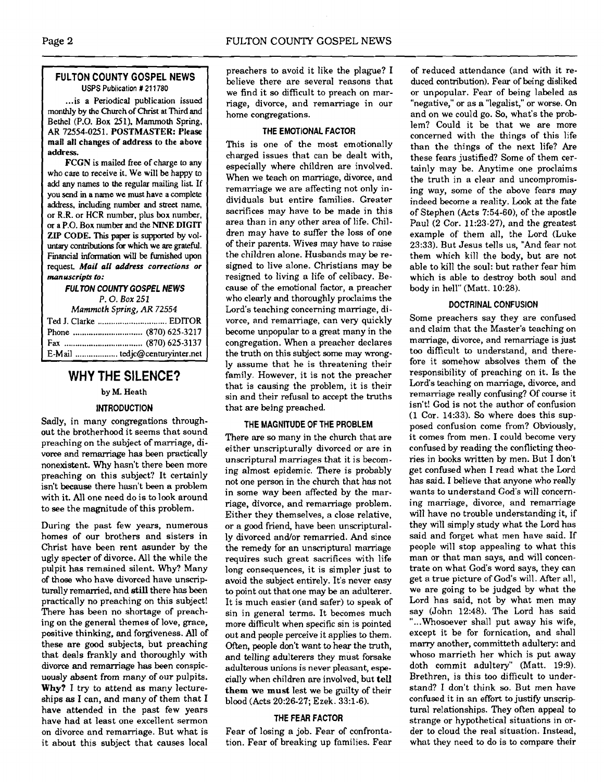#### **FULTON COUNTY GOSPEL NEWS USPS Publicarion** # **21 1780**

... is a Periodical publication issued monthly by the Church of Christ **at** Third and Bethel (P.O. Box 251). Mammoth Spring, AR 72554-0251. POSTMASTER: Please mail all changes of address to the above address.

FCCN is mailed free of charge to any who care to receive it. We will be happy to add any names to the regular mailing list If you send **m** a name we must have a complete address, including number and street name, or R.R. or HCR number, plus **box** number, or a P.O. Box number and the **NINE DIGIT**  ZIP **CODE. This paper is** supported by voluntary contributions for which we are grateful. Financial information will be **furnished** upon request. **Mail all address corrections or manuscripts to:** 

> **FULTON COUNTY GOSPEL NEWS P.** 0. **Box <sup>251</sup> Mammoth** Spring, AR 72554

|  | E-Mail  tedjc@centuryinter.net |
|--|--------------------------------|

## **WHY THE SILENCE?**

by M. Heath

#### **INTRODUCTION**

Sadly, in many congregations throughout the brotherhood it seems that sound preaching on the subject of marriage, divorce and remarriage has been practically nonexistent. Why hasn't there been more preaching on this subject? It certainly isn't because there hasn't been a problem with it. All one need do is to look around to see the magnitude of this problem.

During the past few years, numerous homes of our brothers and sisters in Christ have been rent asunder by the ugly specter of divorce. All the while the pulpit has remained silent. Why? Many of **those** who have divorced have unscripturally remarried, and **still** there has been practically no preaching on this subject! There has been no shortage of preaching on the general themes of love, grace, positive thinking, and forgiveness. All of these are good subjects, but preaching that deals frankly and thoroughly with divorce and remarriage has been conspicuously absent from many of our pulpits. **Why?** I try to attend as many lectureships as I can, and many of them that I have attended in the past few years have had at least one excellent sermon on divorce and remarriage. But what is it about this subject that causes local preachers to avoid it like the plague? I believe there are several reasons that we find it so difficult to preach on marriage, divorce, and remarriage in our home congregations.

#### **THE EMOTIONAL FACTOR**

This is one of the most emotionally charged issues that can be dealt with, especially where children are involved. When we teach on marriage, divorce, and remarriage we are affecting not only individuals but entire families. Greater sacrifices may have to be made in this area than in any other area of life. Children may have to suffer the loss of one of their parents. Wives may have to raise the children alone. Husbands may be resigned to live alone. Christians may be resigned to living a life of celibacy. Because of the emotional factor, a preacher who clearly and thoroughly proclaims the Lord's teaching concerning marriage, divorce, and remarriage, can very quickly become unpopular to a great many in the congregation. When a preacher declares the truth on this subject some may wrongly assume that he is threatening their family. However, it is not the preacher that is causing the problem, it is their sin and their refusal to accept the truths that are being preached.

#### **THE MAGNITUDE OF THE PROBLEM**

There are **so** many in the church that are either unscripturally divorced or are in unscriptural marriages that it is becoming almost epidemic. There is probably not one person in the church that has not in some way been affected by the marriage, divorce, and remarriage problem. Either they themselves, a close relative, or a good friend, have been unscripturally divorced and/or remarried. And since the remedy for an unscriptural marriage requires such great sacrifices with life long consequences, it is simpler just to avoid the subject entirely. It's never easy to point out that one may be an adulterer. It is much easier (and safer) to speak of sin in general terms. It becomes much more difficult when specific sin is pointed out and people perceive it applies to them. Often, people don't want to hear the truth, and telling adulterers they must forsake adulterous unions is never pleasant, especially when children are involved, but **tell them we must** lest we be guilty of their blood (Acts 20:26-27; Ezek. 33:1-6).

#### **THE FEAR FACTOR**

Fear of losing a job. Fear of confrontation. Fear of breaking up families. Fear

of reduced attendance (and with it reduced contribution). Fear of being disliked or unpopular. Fear of being labeled as "negative," or as a "legalist," or worse. On and on we could go. **So,** what's the problem? Could it be that we are more concerned with the things of this life than the things of the next life? Are these fears justified? Some of them certainly may be. Anytime one proclaims the truth in a clear and uncompromising way, some of the above fears may indeed become a reality. Look at the fate of Stephen (Acts 7:54-60), of the apostle Paul  $(2 \text{ Cor. } 11:23-27)$ , and the greatest example of them all, the Lord (Luke 23:33). But Jesus tells us, "And fear not them which kill the body, but are not able to kill the soul: but rather fear him which is able to destroy both soul and body in hell" (Matt. 10:28).

#### **DOCTRINAL CONFUSION**

Some preachers say they are confused and claim that the Master's teaching on marriage, divorce, and remarriage is just too difficult to understand, and therefore it somehow absolves them of the responsibility of preaching on it. Is the Lord's teaching on marriage, divorce, and remarriage really confusing? Of course it isn't! God is not the author of confusion (1 Cor. 14:33). So where does this supposed confusion come from? Obviously, it comes From men. I could become very confused by reading the conflicting theories in books written by men. But I don't get confused when I read what the Lord has said. I believe that anyone who really wants to understand God's will concerning marriage, divorce, and remarriage will have no trouble understanding it, if they will simply study what the Lord has said and forget what men have said. If people will stop appealing to what this man or that man says, and will concentrate on what God's word says, they can get a true picture of God's will. After all, we are going to be judged by what the Lord has said, not by what men may say (John 12:48). The Lord has said "...Whosoever shall put away his wife, except it be for fornication, and shall marry another, committeth adultery: and whoso marrieth her which is put away doth commit adultery" (Matt. 19:9). Brethren, is this too difficult to understand? I don't think so. But men have confused it in an effort to justify unscriptural relationships. They often appeal to strange or hypothetical situations in order to cloud the real situation. Instead, what they need to do is to compare their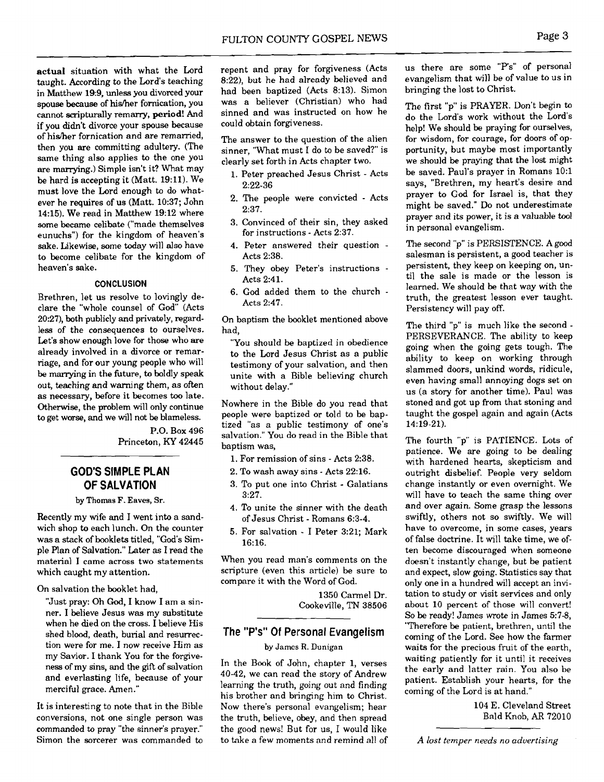**actual** situation with what the Lord taught. According to the Lord's teaching in Matthew 19:9, unless you divorced your spouse because of his/her fornication, you cannot scripturally remany, period! And if you didn't divorce your spouse because of hislher fornication and are remarried, then you are committing adultery. (The same thing also applies to the one you are marrying.) Simple isn't it? What may be hard is accepting it (Matt. 19:ll). We must love the Lord enough to do whatever he requires of us (Matt. 10:37; John 14:15). We read in Matthew 19:12 where some became celibate ("made themselves eunuchs") for the kingdom of heaven's sake. Likewise, some today will also have to become celibate for the kingdom of heaven's sake.

#### **CONCLUSION**

Brethren, let us resolve to lovingly declare the "whole counsel of God" (Acts 20:27), both publicly and privately, regardless of the consequences to ourselves. Let's show enough love for those who are already involved in a divorce or remarriage, and for our young people who will be marrying in the future, to boldly speak out, teaching and warning them, as often as necessary, before it becomes too late. Otherwise, the problem will only continue to get worse, and we will not be blameless.

> P.O. Box 496 Princeton, **KY** 42445

## **GOD'S SIMPLE PLAN OF SALVATION**

**by** Thomas **F. Eaves,** Sr.

Recently my wife and I went into a sandwich shop to each lunch. On the counter was a stack of booklets titled, "God's Simple Plan of Salvation." Later as I read the material I came across two statements which caught my attention.

On salvation the booklet had,

"Just pray: Oh **God,** I know I am a sinner. I believe Jesus was my substitute when he died on the cross. I believe His shed blood, death, burial and resurrection were for me. I now receive Him as my Savior. I thank You for the forgiveness of my sins, and the gift of salvation and everlasting life, because of your merciful grace. Amen."

It is interesting to note that in the Bible conversions, not one single person was commanded to pray "the sinner's prayer." Simon the sorcerer was commanded to

repent and pray for forgiveness (Acts 8:22), but he had already believed and had been baptized (Acts 8:13). Simon was a believer (Christian) who had sinned and was instructed on how he could obtain forgiveness.

The answer to the question of the alien sinner, "What must I do to be saved?" is clearly set forth in Acts chapter two.

- 1. Peter preached Jesus Christ Acts 2:22-36
- 2. The people were convicted Acts 2:37.
- 3. Convinced of their sin, they asked for instructions - Acts 2:37.
- 4. Peter answered their question Acts 2:38.
- 5. They obey Peter's instructions Acts 2:41.
- 6. God added them to the church Acts 2:47.

On baptism the booklet mentioned above had,

"You should be baptized in obedience to the Lord Jesus Christ as a public testimony of your salvation, and then unite with a Bible believing church without delay."

Nowhere in the Bible do you read that people were baptized or told to be baptized "as a public testimony of one's salvation." You do read in the Bible that baptism was,

- 1. For remission of sins Acts 2:38.
- 2. To wash away sins Acts 22:16.
- 3. To put one into Christ Galatians 3:27.
- 4. To unite the sinner with the death of Jesus Christ - Romans 6:3-4.
- 5. For salvation I Peter 3:21; Mark 16:16.

When you read man's comments on the scripture (even this article) be sure to compare it with the Word of God.

> 1350 Camel Dr. Cookeville, TN 38506

## **The "P's" Of Personal Evangelism**

#### **by James R.** Dunigan

In the Book of John, chapter 1, verses 40-42, we can read the story of Andrew learning the truth, going out and finding his brother and bringing him to Christ. Now there's personal evangelism; hear the truth, believe, obey, and then spread the good news! But for us, I would like to take a few moments and remind all of

us there are some "P's" of personal evangelism that will be of value to us in bringing the lost to Christ.

The first "p" is PRAYER. Don't begin to do the Lord's work without the Lord's help! We should be praying for ourselves, for wisdom, for courage, for doors of opportunity, but maybe most importantly we should be praying that the lost might be saved. Paul's prayer in Romans 10:l says, "Brethren, my heart's desire and prayer to God for Israel is, that they might be saved." Do not underestimate prayer and its power, it is a valuable tool in personal evangelism.

The second "p" is PERSISTENCE. A good salesman is persistent, a good teacher is persistent, they keep on keeping on, until the sale is made or the lesson is learned. We should be that way with the truth, the greatest lesson ever taught. Persistency will pay off.

The third "p" is much like the second -PERSEVERANCE. The ability to keep going when the going gets tough. The ability to keep on working through slammed doors. unkind words, ridicule, even having small annoying dogs set on us (a story for another time). Paul was stoned and got up from that stoning and taught the gospel again and again (Acts 14:19-21).

The fourth "p" is PATIENCE. Lots of patience. We are going to be dealing with hardened hearts, skepticism and outright disbelief. People very seldom change instantly or even overnight. We will have to teach the same thing over and over again. Some grasp the lessons swiftly, others not so swiftly. We will have to overcome, in some cases, years of false doctrine. It will take time, we often become discouraged when someone doesn't instantly change, but be patient and expect, slow going. Statistics say that only one in a hundred will accept an invitation to study or visit services and only about 10 percent of those will convert! So be ready! James wrote in James 5:7-8, "Therefore be patient, brethren, until the coming of the Lord. See how the farmer waits for the precious fruit of the earth, waiting patiently for it until it receives the early and latter rein. You also be patient. Establish your hearts, for the coming of the Lord is at hand."

> 104 E. Cleveland Street Bald Knob, **AR** 72010